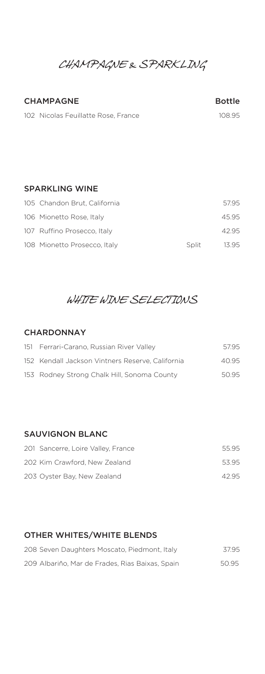# *CHAMPAGNE & SPARKLING*

#### CHAMPAGNE Bottle

102 Nicolas Feuillatte Rose, France 108.95

#### SPARKLING WINE

| 105 Chandon Brut, California |       | 57.95 |
|------------------------------|-------|-------|
| 106 Mionetto Rose, Italy     |       | 45.95 |
| 107 Ruffino Prosecco, Italy  |       | 42.95 |
| 108 Mionetto Prosecco, Italy | Split | 13.95 |

# *WHITE WINE SELECTIONS*

#### **CHARDONNAY**

| 151 Ferrari-Carano, Russian River Valley         | 57.95 |
|--------------------------------------------------|-------|
| 152 Kendall Jackson Vintners Reserve, California | 40.95 |
| 153 Rodney Strong Chalk Hill, Sonoma County      | 50.95 |

## SAUVIGNON BLANC

| 201 Sancerre, Loire Valley, France | 55.95 |
|------------------------------------|-------|
| 202 Kim Crawford, New Zealand      | 53.95 |
| 203 Oyster Bay, New Zealand        | 42.95 |

## OTHER WHITES/WHITE BLENDS

| 208 Seven Daughters Moscato, Piedmont, Italy    | 37.95 |
|-------------------------------------------------|-------|
| 209 Albariño, Mar de Frades, Rias Baixas, Spain | 50.95 |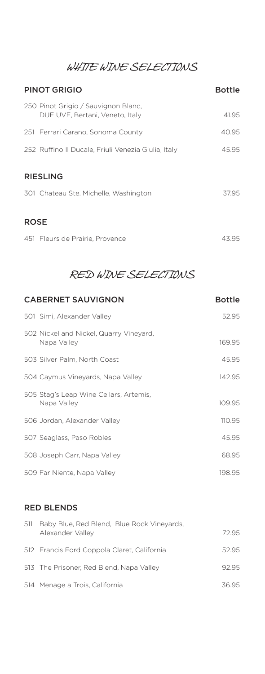*WHITE WINE SELECTIONS*

| <b>PINOT GRIGIO</b>                                                    | <b>Bottle</b> |  |
|------------------------------------------------------------------------|---------------|--|
| 250 Pinot Grigio / Sauvignon Blanc,<br>DUE UVE, Bertani, Veneto, Italy | 41.95         |  |
| 251 Ferrari Carano, Sonoma County                                      | 40.95         |  |
| 252 Ruffino II Ducale, Friuli Venezia Giulia, Italy                    | 45.95         |  |
| <b>RIESLING</b><br>301 Chateau Ste. Michelle, Washington               | 37.95         |  |
| <b>ROSE</b>                                                            |               |  |
| 451 Fleurs de Prairie, Provence                                        | 43.95         |  |

# *RED WINE SELECTIONS*

| <b>CABERNET SAUVIGNON</b>                              | <b>Bottle</b> |
|--------------------------------------------------------|---------------|
| 501 Simi, Alexander Valley                             | 52.95         |
| 502 Nickel and Nickel, Quarry Vineyard,<br>Napa Valley | 169.95        |
| 503 Silver Palm, North Coast                           | 45.95         |
| 504 Caymus Vineyards, Napa Valley                      | 142.95        |
| 505 Stag's Leap Wine Cellars, Artemis,<br>Napa Valley  | 109.95        |
| 506 Jordan, Alexander Valley                           | 110.95        |
| 507 Seaglass, Paso Robles                              | 45.95         |
| 508 Joseph Carr, Napa Valley                           | 68.95         |
| 509 Far Niente, Napa Valley                            | 198.95        |
|                                                        |               |

## RED BLENDS

| 511 | Baby Blue, Red Blend, Blue Rock Vineyards,<br>Alexander Valley | 72.95 |
|-----|----------------------------------------------------------------|-------|
|     | 512 Francis Ford Coppola Claret, California                    | 52.95 |
|     | 513 The Prisoner, Red Blend, Napa Valley                       | 9295  |
|     | 514 Menage a Trois, California                                 | 36 95 |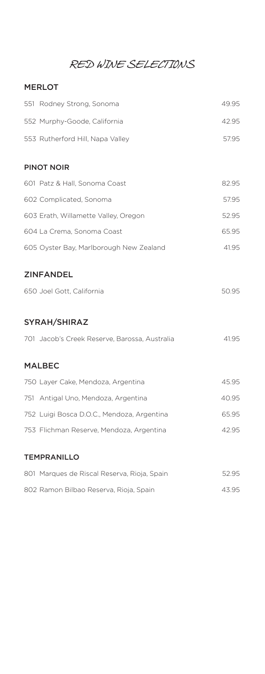## *RED WINE SELECTIONS*

## MERLOT

| 551 Rodney Strong, Sonoma                     | 49.95 |
|-----------------------------------------------|-------|
| 552 Murphy-Goode, California                  | 42.95 |
| 553 Rutherford Hill, Napa Valley              | 57.95 |
|                                               |       |
| <b>PINOT NOIR</b>                             |       |
| 601 Patz & Hall, Sonoma Coast                 | 82.95 |
| 602 Complicated, Sonoma                       | 57.95 |
| 603 Erath, Willamette Valley, Oregon          | 52.95 |
| 604 La Crema, Sonoma Coast                    | 65.95 |
| 605 Oyster Bay, Marlborough New Zealand       | 41.95 |
|                                               |       |
| <b>ZINFANDEL</b>                              |       |
| 650 Joel Gott, California                     | 50.95 |
|                                               |       |
| <b>SYRAH/SHIRAZ</b>                           |       |
| 701 Jacob's Creek Reserve, Barossa, Australia | 41.95 |
|                                               |       |
| <b>MALBEC</b>                                 |       |
| 750 Layer Cake, Mendoza, Argentina            | 45.95 |
| 751 Antigal Uno, Mendoza, Argentina           | 40.95 |
| 752 Luigi Bosca D.O.C., Mendoza, Argentina    | 65.95 |

#### TEMPRANILLO

| 801 Marques de Riscal Reserva, Rioja, Spain | 52.95 |
|---------------------------------------------|-------|
| 802 Ramon Bilbao Reserva, Rioja, Spain      | 43.95 |

753 Flichman Reserve, Mendoza, Argentina 42.95